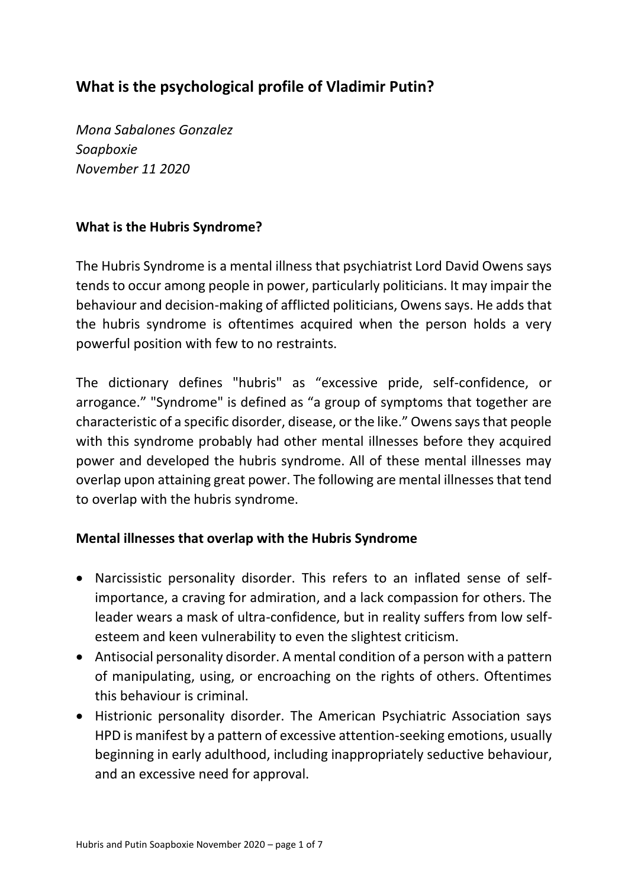# **What is the psychological profile of Vladimir Putin?**

*Mona Sabalones Gonzalez Soapboxie November 11 2020*

# **What is the Hubris Syndrome?**

The Hubris Syndrome is a mental illness that psychiatrist Lord David Owens says tends to occur among people in power, particularly politicians. It may impair the behaviour and decision-making of afflicted politicians, Owens says. He adds that the hubris syndrome is oftentimes acquired when the person holds a very powerful position with few to no restraints.

The dictionary defines "hubris" as "excessive pride, self-confidence, or arrogance." "Syndrome" is defined as "a group of symptoms that together are characteristic of a specific disorder, disease, or the like." Owens says that people with this syndrome probably had other mental illnesses before they acquired power and developed the hubris syndrome. All of these mental illnesses may overlap upon attaining great power. The following are mental illnesses that tend to overlap with the hubris syndrome.

#### **Mental illnesses that overlap with the Hubris Syndrome**

- Narcissistic personality disorder. This refers to an inflated sense of selfimportance, a craving for admiration, and a lack compassion for others. The leader wears a mask of ultra-confidence, but in reality suffers from low selfesteem and keen vulnerability to even the slightest criticism.
- Antisocial personality disorder. A mental condition of a person with a pattern of manipulating, using, or encroaching on the rights of others. Oftentimes this behaviour is criminal.
- Histrionic personality disorder. The American Psychiatric Association says HPD is manifest by a pattern of excessive attention-seeking emotions, usually beginning in early adulthood, including inappropriately seductive behaviour, and an excessive need for approval.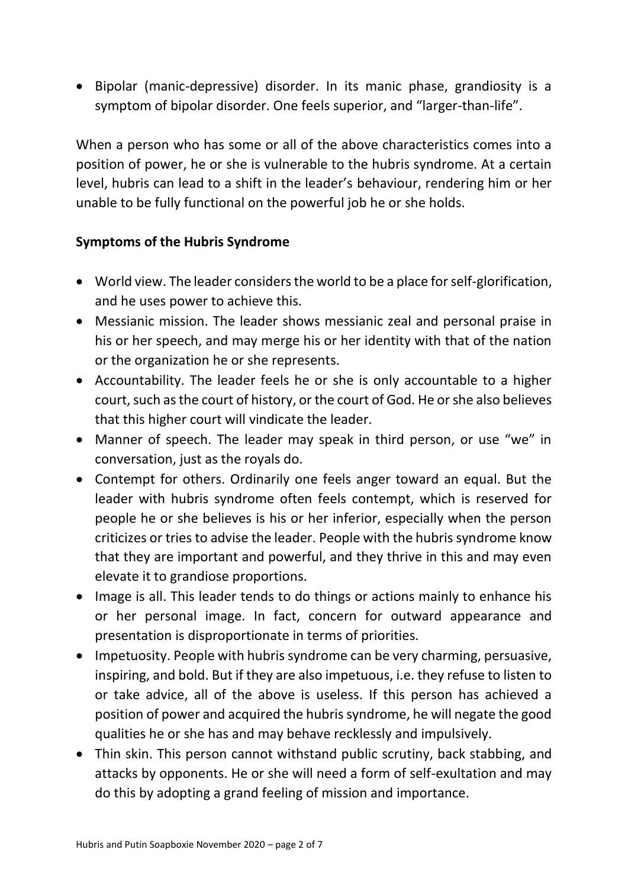• Bipolar (manic-depressive) disorder. In its manic phase, grandiosity is a symptom of bipolar disorder. One feels superior, and "larger-than-life".

When a person who has some or all of the above characteristics comes into a position of power, he or she is vulnerable to the hubris syndrome. At a certain level, hubris can lead to a shift in the leader's behaviour, rendering him or her unable to be fully functional on the powerful job he or she holds.

#### **Symptoms of the Hubris Syndrome**

- World view. The leader considers the world to be a place for self-glorification, and he uses power to achieve this.
- Messianic mission. The leader shows messianic zeal and personal praise in his or her speech, and may merge his or her identity with that of the nation or the organization he or she represents.
- Accountability. The leader feels he or she is only accountable to a higher court, such as the court of history, or the court of God. He or she also believes that this higher court will vindicate the leader.
- Manner of speech. The leader may speak in third person, or use "we" in conversation, just as the royals do.
- Contempt for others. Ordinarily one feels anger toward an equal. But the leader with hubris syndrome often feels contempt, which is reserved for people he or she believes is his or her inferior, especially when the person criticizes or tries to advise the leader. People with the hubris syndrome know that they are important and powerful, and they thrive in this and may even elevate it to grandiose proportions.
- Image is all. This leader tends to do things or actions mainly to enhance his or her personal image. In fact, concern for outward appearance and presentation is disproportionate in terms of priorities.
- Impetuosity. People with hubris syndrome can be very charming, persuasive, inspiring, and bold. But if they are also impetuous, i.e. they refuse to listen to or take advice, all of the above is useless. If this person has achieved a position of power and acquired the hubris syndrome, he will negate the good qualities he or she has and may behave recklessly and impulsively.
- Thin skin. This person cannot withstand public scrutiny, back stabbing, and attacks by opponents. He or she will need a form of self-exultation and may do this by adopting a grand feeling of mission and importance.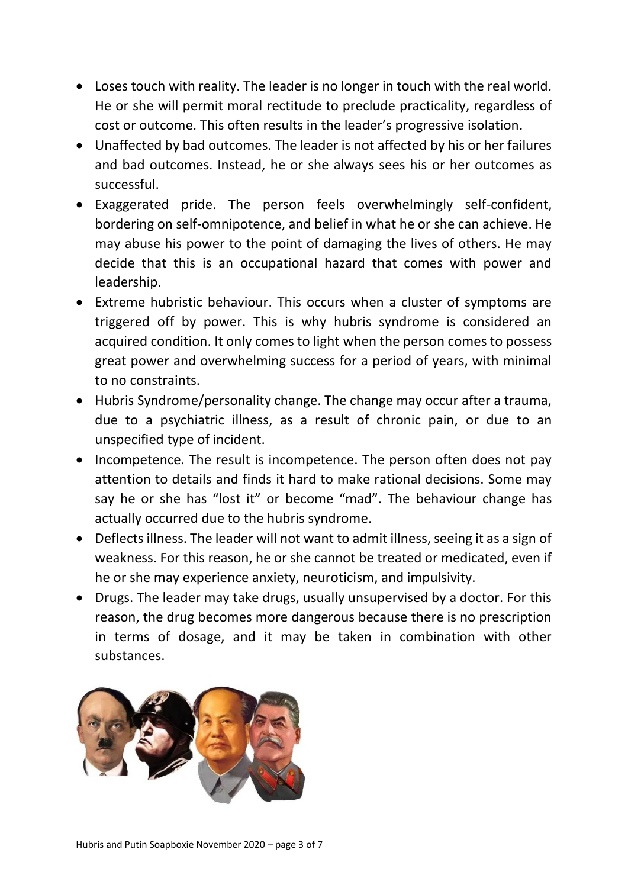- Loses touch with reality. The leader is no longer in touch with the real world. He or she will permit moral rectitude to preclude practicality, regardless of cost or outcome. This often results in the leader's progressive isolation.
- Unaffected by bad outcomes. The leader is not affected by his or her failures and bad outcomes. Instead, he or she always sees his or her outcomes as successful.
- Exaggerated pride. The person feels overwhelmingly self-confident, bordering on self-omnipotence, and belief in what he or she can achieve. He may abuse his power to the point of damaging the lives of others. He may decide that this is an occupational hazard that comes with power and leadership.
- Extreme hubristic behaviour. This occurs when a cluster of symptoms are triggered off by power. This is why hubris syndrome is considered an acquired condition. It only comes to light when the person comes to possess great power and overwhelming success for a period of years, with minimal to no constraints.
- Hubris Syndrome/personality change. The change may occur after a trauma, due to a psychiatric illness, as a result of chronic pain, or due to an unspecified type of incident.
- Incompetence. The result is incompetence. The person often does not pay attention to details and finds it hard to make rational decisions. Some may say he or she has "lost it" or become "mad". The behaviour change has actually occurred due to the hubris syndrome.
- Deflects illness. The leader will not want to admit illness, seeing it as a sign of weakness. For this reason, he or she cannot be treated or medicated, even if he or she may experience anxiety, neuroticism, and impulsivity.
- Drugs. The leader may take drugs, usually unsupervised by a doctor. For this reason, the drug becomes more dangerous because there is no prescription in terms of dosage, and it may be taken in combination with other substances.

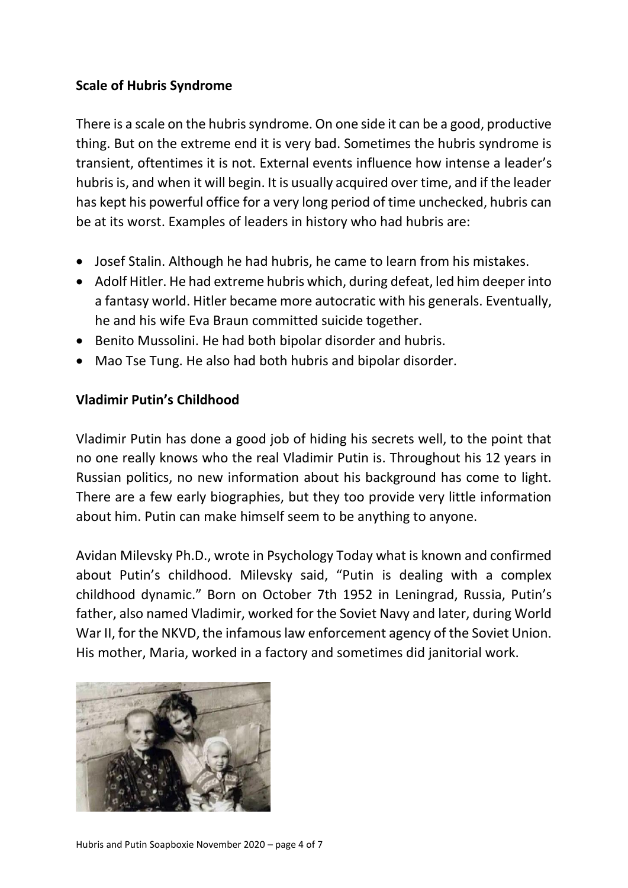# **Scale of Hubris Syndrome**

There is a scale on the hubris syndrome. On one side it can be a good, productive thing. But on the extreme end it is very bad. Sometimes the hubris syndrome is transient, oftentimes it is not. External events influence how intense a leader's hubris is, and when it will begin. It is usually acquired over time, and if the leader has kept his powerful office for a very long period of time unchecked, hubris can be at its worst. Examples of leaders in history who had hubris are:

- Josef Stalin. Although he had hubris, he came to learn from his mistakes.
- Adolf Hitler. He had extreme hubris which, during defeat, led him deeper into a fantasy world. Hitler became more autocratic with his generals. Eventually, he and his wife Eva Braun committed suicide together.
- Benito Mussolini. He had both bipolar disorder and hubris.
- Mao Tse Tung. He also had both hubris and bipolar disorder.

# **Vladimir Putin's Childhood**

Vladimir Putin has done a good job of hiding his secrets well, to the point that no one really knows who the real Vladimir Putin is. Throughout his 12 years in Russian politics, no new information about his background has come to light. There are a few early biographies, but they too provide very little information about him. Putin can make himself seem to be anything to anyone.

Avidan Milevsky Ph.D., wrote in Psychology Today what is known and confirmed about Putin's childhood. Milevsky said, "Putin is dealing with a complex childhood dynamic." Born on October 7th 1952 in Leningrad, Russia, Putin's father, also named Vladimir, worked for the Soviet Navy and later, during World War II, for the NKVD, the infamous law enforcement agency of the Soviet Union. His mother, Maria, worked in a factory and sometimes did janitorial work.

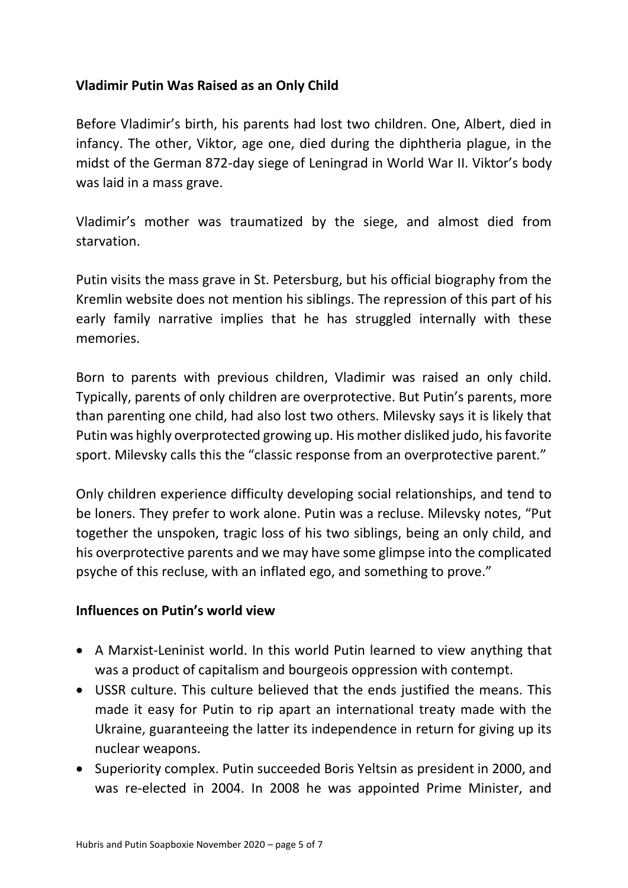# **Vladimir Putin Was Raised as an Only Child**

Before Vladimir's birth, his parents had lost two children. One, Albert, died in infancy. The other, Viktor, age one, died during the diphtheria plague, in the midst of the German 872-day siege of Leningrad in World War II. Viktor's body was laid in a mass grave.

Vladimir's mother was traumatized by the siege, and almost died from starvation.

Putin visits the mass grave in St. Petersburg, but his official biography from the Kremlin website does not mention his siblings. The repression of this part of his early family narrative implies that he has struggled internally with these memories.

Born to parents with previous children, Vladimir was raised an only child. Typically, parents of only children are overprotective. But Putin's parents, more than parenting one child, had also lost two others. Milevsky says it is likely that Putin was highly overprotected growing up. His mother disliked judo, his favorite sport. Milevsky calls this the "classic response from an overprotective parent."

Only children experience difficulty developing social relationships, and tend to be loners. They prefer to work alone. Putin was a recluse. Milevsky notes, "Put together the unspoken, tragic loss of his two siblings, being an only child, and his overprotective parents and we may have some glimpse into the complicated psyche of this recluse, with an inflated ego, and something to prove."

#### **Influences on Putin's world view**

- A Marxist-Leninist world. In this world Putin learned to view anything that was a product of capitalism and bourgeois oppression with contempt.
- USSR culture. This culture believed that the ends justified the means. This made it easy for Putin to rip apart an international treaty made with the Ukraine, guaranteeing the latter its independence in return for giving up its nuclear weapons.
- Superiority complex. Putin succeeded Boris Yeltsin as president in 2000, and was re-elected in 2004. In 2008 he was appointed Prime Minister, and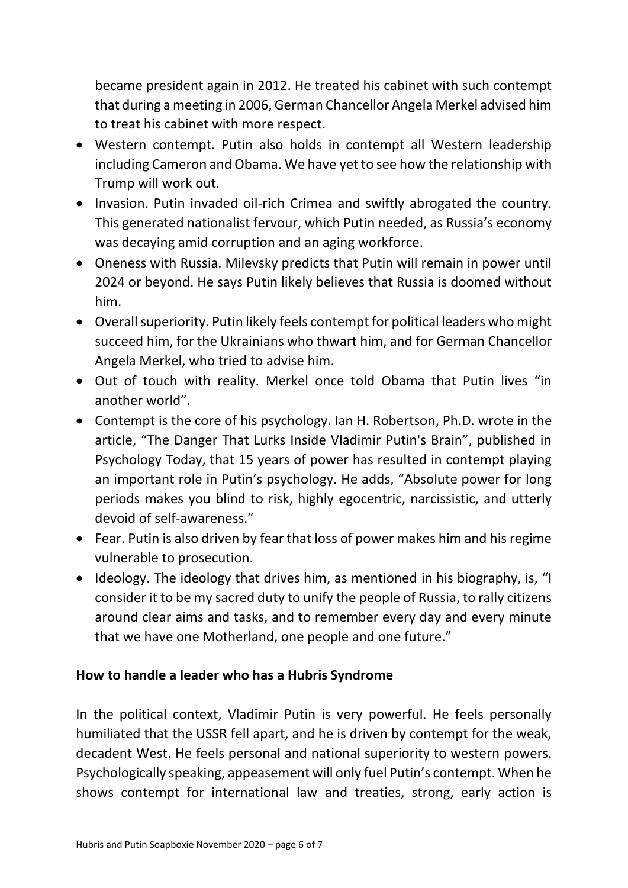became president again in 2012. He treated his cabinet with such contempt that during a meeting in 2006, German Chancellor Angela Merkel advised him to treat his cabinet with more respect.

- Western contempt. Putin also holds in contempt all Western leadership including Cameron and Obama. We have yet to see how the relationship with Trump will work out.
- Invasion. Putin invaded oil-rich Crimea and swiftly abrogated the country. This generated nationalist fervour, which Putin needed, as Russia's economy was decaying amid corruption and an aging workforce.
- Oneness with Russia. Milevsky predicts that Putin will remain in power until 2024 or beyond. He says Putin likely believes that Russia is doomed without him.
- Overall superiority. Putin likely feels contempt for political leaders who might succeed him, for the Ukrainians who thwart him, and for German Chancellor Angela Merkel, who tried to advise him.
- Out of touch with reality. Merkel once told Obama that Putin lives "in another world".
- Contempt is the core of his psychology. Ian H. Robertson, Ph.D. wrote in the article, "The Danger That Lurks Inside Vladimir Putin's Brain", published in Psychology Today, that 15 years of power has resulted in contempt playing an important role in Putin's psychology. He adds, "Absolute power for long periods makes you blind to risk, highly egocentric, narcissistic, and utterly devoid of self-awareness."
- Fear. Putin is also driven by fear that loss of power makes him and his regime vulnerable to prosecution.
- Ideology. The ideology that drives him, as mentioned in his biography, is, "I consider it to be my sacred duty to unify the people of Russia, to rally citizens around clear aims and tasks, and to remember every day and every minute that we have one Motherland, one people and one future."

#### **How to handle a leader who has a Hubris Syndrome**

In the political context, Vladimir Putin is very powerful. He feels personally humiliated that the USSR fell apart, and he is driven by contempt for the weak, decadent West. He feels personal and national superiority to western powers. Psychologically speaking, appeasement will only fuel Putin's contempt. When he shows contempt for international law and treaties, strong, early action is